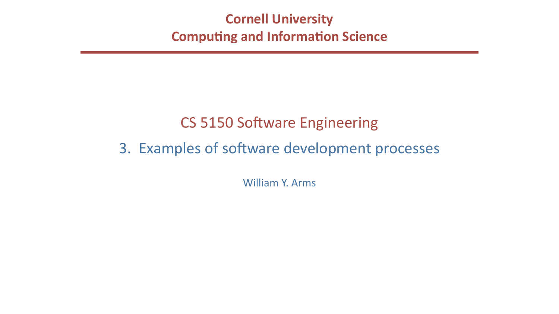## **Cornell University Computing and Information Science**

# CS 5150 Software Engineering 3. Examples of software development processes

William Y. Arms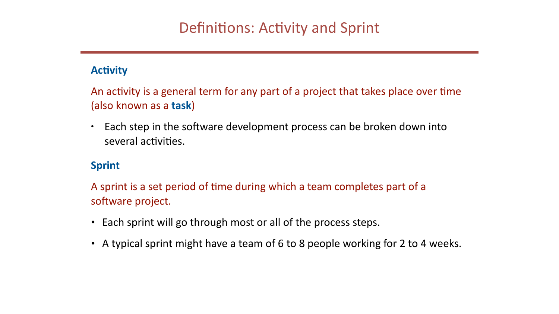### **Activity**

(also known as a **task**)

• Each step in the software development process can be broken down into several activities.

### **Sprint**

A sprint is a set period of time during which a team completes part of a software project.

- Each sprint will go through most or all of the process steps.
- A typical sprint might have a team of 6 to 8 people working for 2 to 4 weeks.

An activity is a general term for any part of a project that takes place over time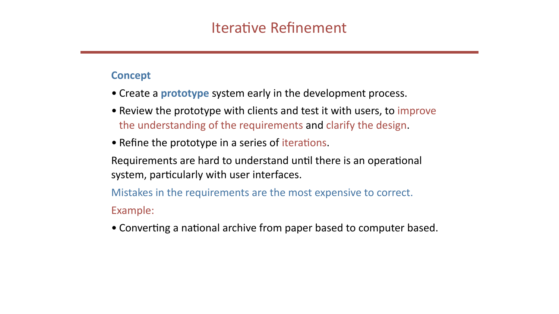### **Concept**

- Create a **prototype** system early in the development process.
- Review the prototype with clients and test it with users, to improve the understanding of the requirements and clarify the design.
- Refine the prototype in a series of iterations.

system, particularly with user interfaces.

Example: 

• Converting a national archive from paper based to computer based.

- Requirements are hard to understand until there is an operational
- Mistakes in the requirements are the most expensive to correct.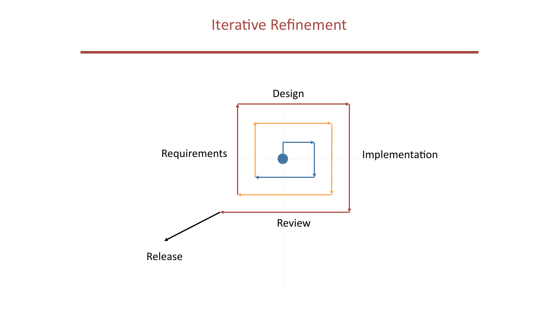## Iterative Refinement



## Implementation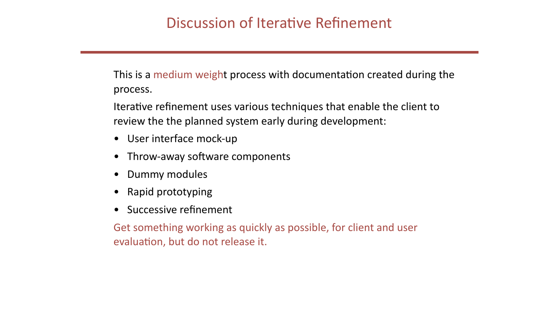This is a medium weight process with documentation created during the process.

Iterative refinement uses various techniques that enable the client to review the the planned system early during development:

- User interface mock-up
- Throw-away software components
- Dummy modules
- Rapid prototyping
- Successive refinement

Get something working as quickly as possible, for client and user evaluation, but do not release it.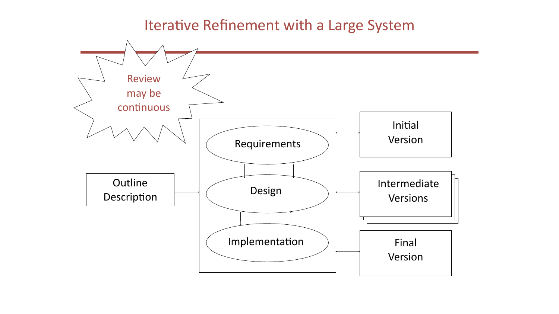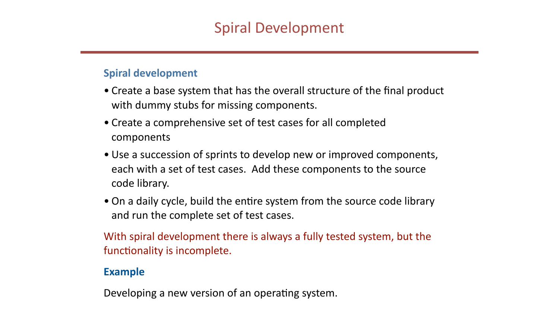### **Spiral development**

- Create a base system that has the overall structure of the final product with dummy stubs for missing components.
- Create a comprehensive set of test cases for all completed components
- Use a succession of sprints to develop new or improved components, each with a set of test cases. Add these components to the source code library.
- On a daily cycle, build the entire system from the source code library and run the complete set of test cases.

functionality is incomplete.

### **Example**

Developing a new version of an operating system.

With spiral development there is always a fully tested system, but the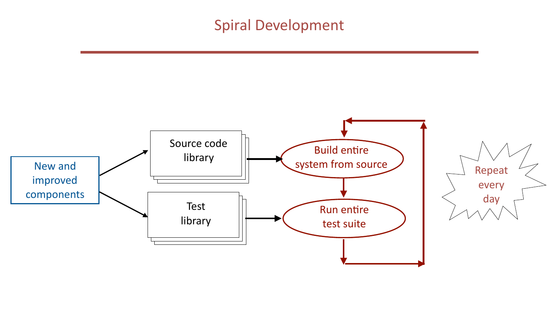## Spiral Development



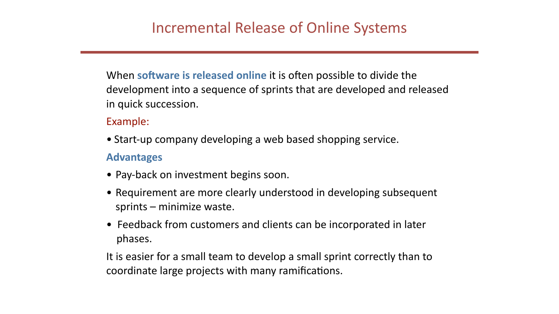in quick succession.

Example: 

- Start-up company developing a web based shopping service. **Advantages**
- Pay-back on investment begins soon.
- Requirement are more clearly understood in developing subsequent sprints  $-$  minimize waste.
- Feedback from customers and clients can be incorporated in later phases.

coordinate large projects with many ramifications.

When software is released online it is often possible to divide the development into a sequence of sprints that are developed and released

It is easier for a small team to develop a small sprint correctly than to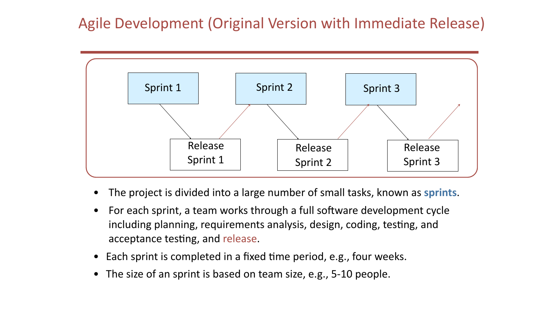## Agile Development (Original Version with Immediate Release)



- The project is divided into a large number of small tasks, known as sprints.
- For each sprint, a team works through a full software development cycle including planning, requirements analysis, design, coding, testing, and acceptance testing, and release.
- Each sprint is completed in a fixed time period, e.g., four weeks.
- The size of an sprint is based on team size, e.g., 5-10 people.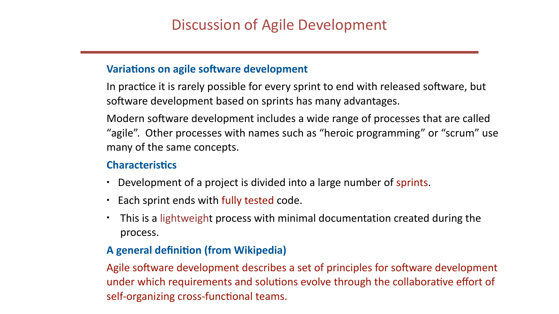### **Variations on agile software development**

software development based on sprints has many advantages.

many of the same concepts.

### **Characteristics**

- Development of a project is divided into a large number of sprints.
- Each sprint ends with fully tested code.
- This is a lightweight process with minimal documentation created during the process.

## **A** general definition (from Wikipedia)

self-organizing cross-functional teams.

- In practice it is rarely possible for every sprint to end with released software, but
- Modern software development includes a wide range of processes that are called "agile". Other processes with names such as "heroic programming" or "scrum" use

Agile software development describes a set of principles for software development under which requirements and solutions evolve through the collaborative effort of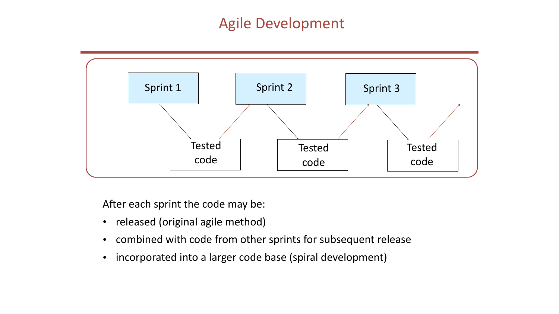## Agile Development



After each sprint the code may be:

- released (original agile method)
- combined with code from other sprints for subsequent release
- incorporated into a larger code base (spiral development)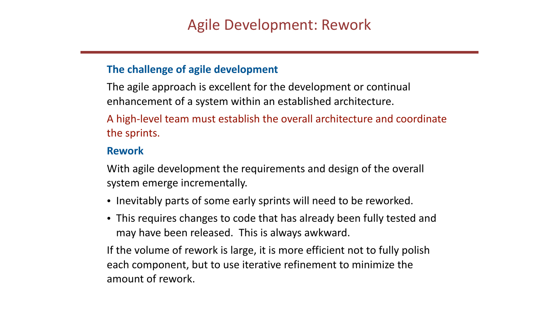### **The challenge of agile development**

The agile approach is excellent for the development or continual enhancement of a system within an established architecture.

the sprints.

### **Rework**

system emerge incrementally.

- Inevitably parts of some early sprints will need to be reworked.
- This requires changes to code that has already been fully tested and may have been released. This is always awkward.

each component, but to use iterative refinement to minimize the amount of rework.

- 
- 
- A high-level team must establish the overall architecture and coordinate

With agile development the requirements and design of the overall

If the volume of rework is large, it is more efficient not to fully polish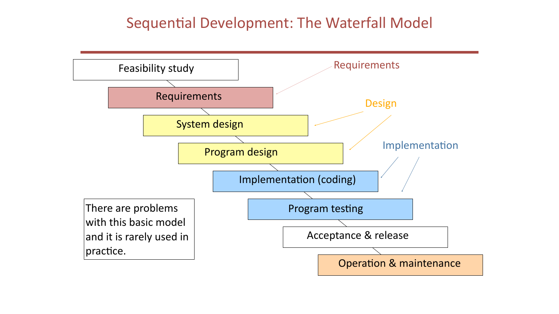## Sequential Development: The Waterfall Model

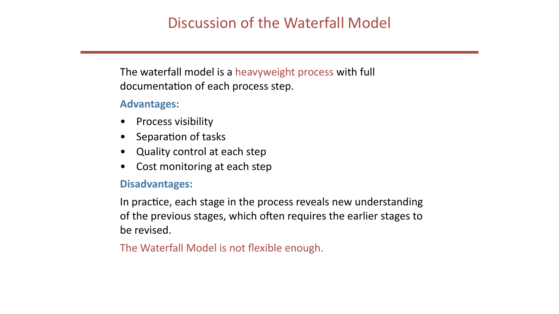The waterfall model is a heavyweight process with full documentation of each process step.

### **Advantages:**

- **Process visibility**
- Separation of tasks
- Quality control at each step
- Cost monitoring at each step

### **Disadvantages:**

In practice, each stage in the process reveals new understanding of the previous stages, which often requires the earlier stages to be revised.

The Waterfall Model is not flexible enough.

Discussion of the Waterfall Model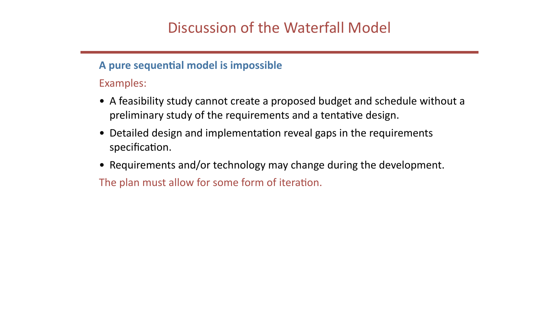**A pure sequential model is impossible** Examples: 

- A feasibility study cannot create a proposed budget and schedule without a preliminary study of the requirements and a tentative design.
- Detailed design and implementation reveal gaps in the requirements specification.
- Requirements and/or technology may change during the development. The plan must allow for some form of iteration.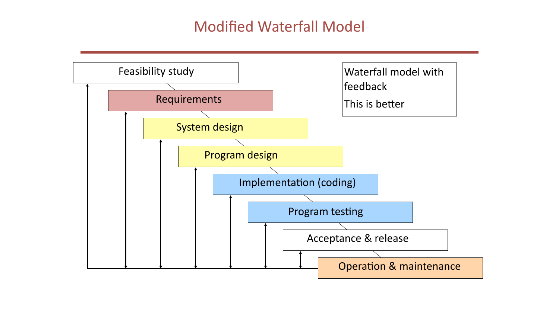## Modified Waterfall Model

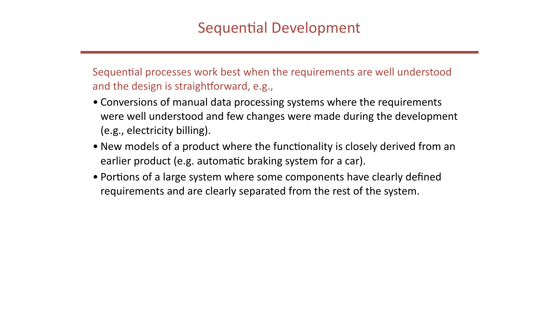and the design is straightforward, e.g.,

- Conversions of manual data processing systems where the requirements were well understood and few changes were made during the development (e.g., electricity billing).
- New models of a product where the functionality is closely derived from an earlier product (e.g. automatic braking system for a car).
- Portions of a large system where some components have clearly defined requirements and are clearly separated from the rest of the system.

Sequential processes work best when the requirements are well understood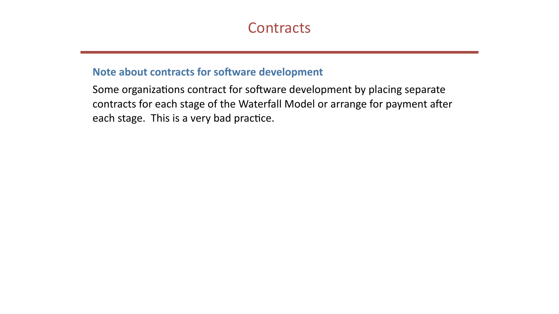## **Note about contracts for software development**

Some organizations contract for software development by placing separate contracts for each stage of the Waterfall Model or arrange for payment after each stage. This is a very bad practice.

## **Contracts**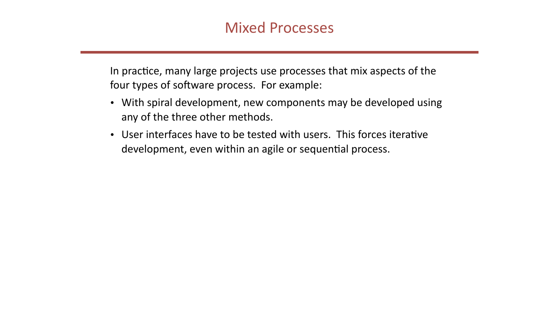## **Mixed Processes**

four types of software process. For example:

- With spiral development, new components may be developed using any of the three other methods.
- User interfaces have to be tested with users. This forces iterative development, even within an agile or sequential process.

In practice, many large projects use processes that mix aspects of the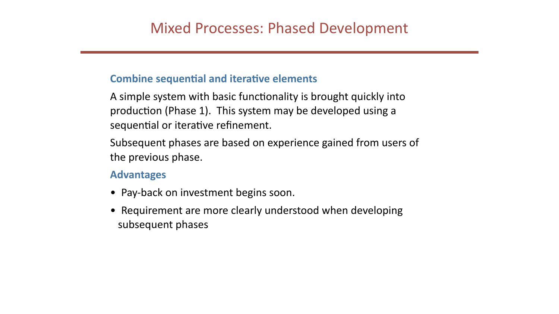## **Combine sequential and iterative elements**

A simple system with basic functionality is brought quickly into production (Phase 1). This system may be developed using a sequential or iterative refinement.

Subsequent phases are based on experience gained from users of the previous phase.

### **Advantages**

- Pay-back on investment begins soon.
- Requirement are more clearly understood when developing subsequent phases

## Mixed Processes: Phased Development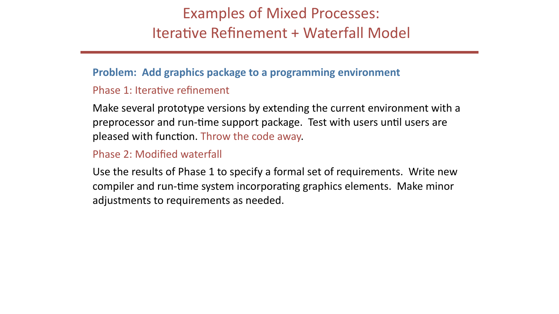## Examples of Mixed Processes: Iterative Refinement + Waterfall Model

## **Problem: Add graphics package to a programming environment**

Phase 1: Iterative refinement

Make several prototype versions by extending the current environment with a preprocessor and run-time support package. Test with users until users are pleased with function. Throw the code away.

Phase 2: Modified waterfall

Use the results of Phase 1 to specify a formal set of requirements. Write new compiler and run-time system incorporating graphics elements. Make minor adjustments to requirements as needed.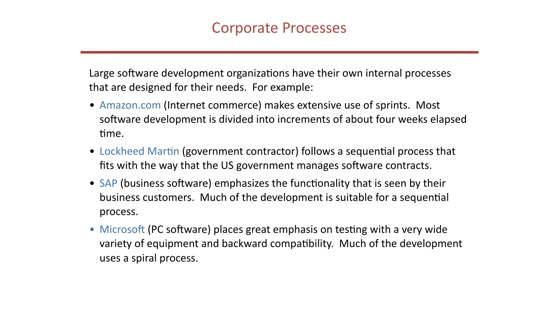Large software development organizations have their own internal processes that are designed for their needs. For example:

- time.
- 
- process.
- uses a spiral process.

• Amazon.com (Internet commerce) makes extensive use of sprints. Most software development is divided into increments of about four weeks elapsed

• Lockheed Martin (government contractor) follows a sequential process that fits with the way that the US government manages software contracts.

• SAP (business software) emphasizes the functionality that is seen by their business customers. Much of the development is suitable for a sequential

• Microsoft (PC software) places great emphasis on testing with a very wide variety of equipment and backward compatibility. Much of the development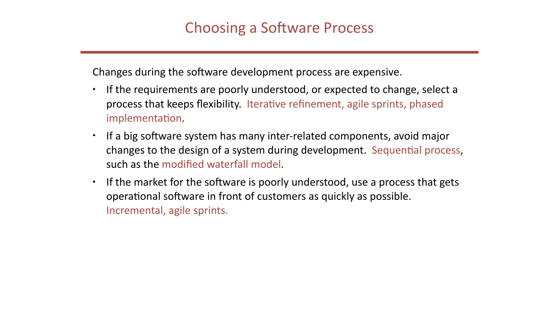Changes during the software development process are expensive.

- If the requirements are poorly understood, or expected to change, select a process that keeps flexibility. Iterative refinement, agile sprints, phased implementation.
- If a big software system has many inter-related components, avoid major changes to the design of a system during development. Sequential process, such as the modified waterfall model.
- If the market for the software is poorly understood, use a process that gets operational software in front of customers as quickly as possible. Incremental, agile sprints.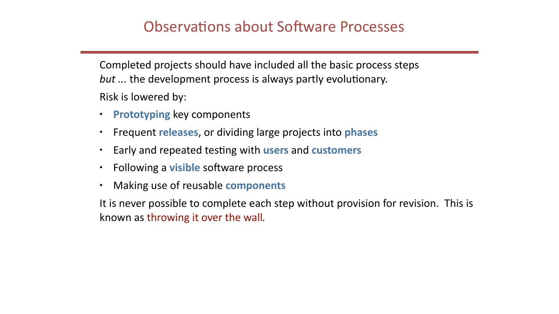Completed projects should have included all the basic process steps but ... the development process is always partly evolutionary. Risk is lowered by:

- **Prototyping** key components
- Frequent **releases**, or dividing large projects into **phases**
- Early and repeated testing with users and customers
- Following a **visible** software process
- Making use of reusable **components**

known as throwing it over the wall.

## **Observations about Software Processes**

It is never possible to complete each step without provision for revision. This is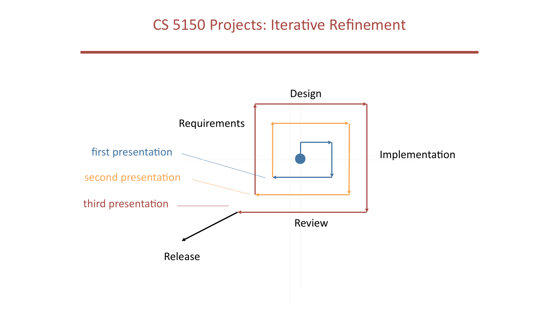## CS 5150 Projects: Iterative Refinement

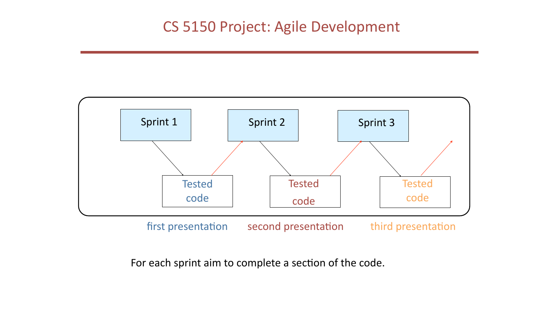

### For each sprint aim to complete a section of the code.

first presentation second presentation third presentation